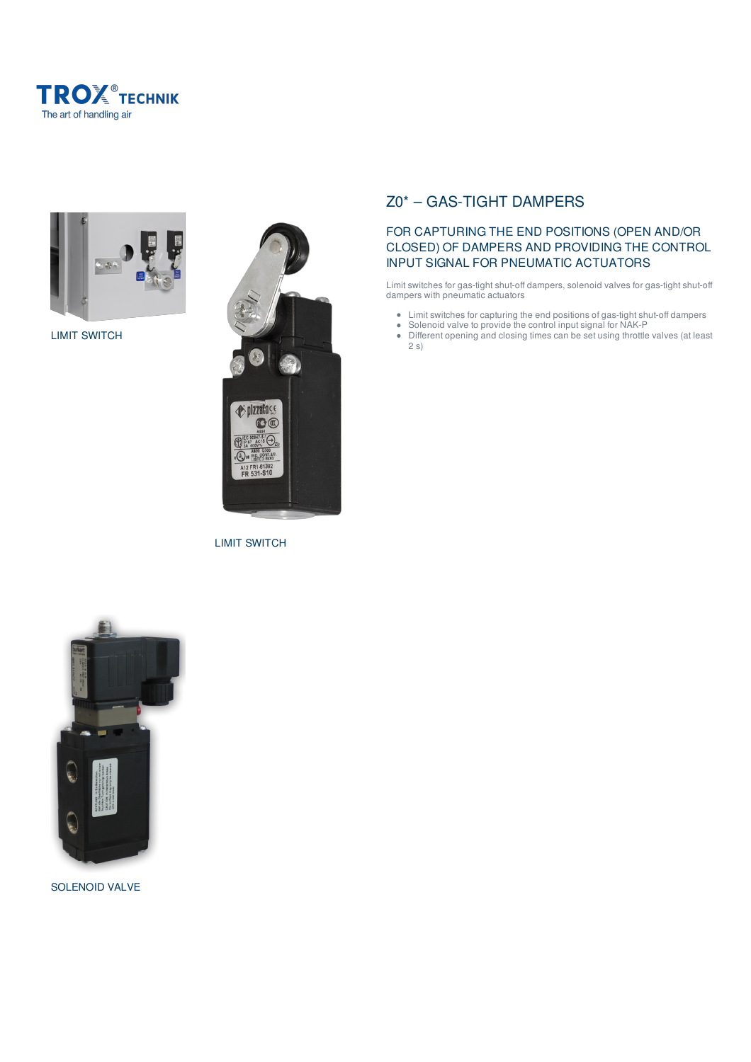



LIMIT SWITCH



LIMIT SWITCH

# Z0\* – GAS-TIGHT DAMPERS

# FOR CAPTURING THE END POSITIONS (OPEN AND/OR CLOSED) OF DAMPERS AND PROVIDING THE CONTROL INPUT SIGNAL FOR PNEUMATIC ACTUATORS

Limit switches for gas-tight shut-off dampers, solenoid valves for gas-tight shut-off dampers with pneumatic actuators

- Limit switches for capturing the end positions of gas-tight shut-off dampers
- Solenoid valve to provide the control input signal for NAK-P
- Different opening and closing times can be set using throttle valves (at least 2 s)



SOLENOID VALVE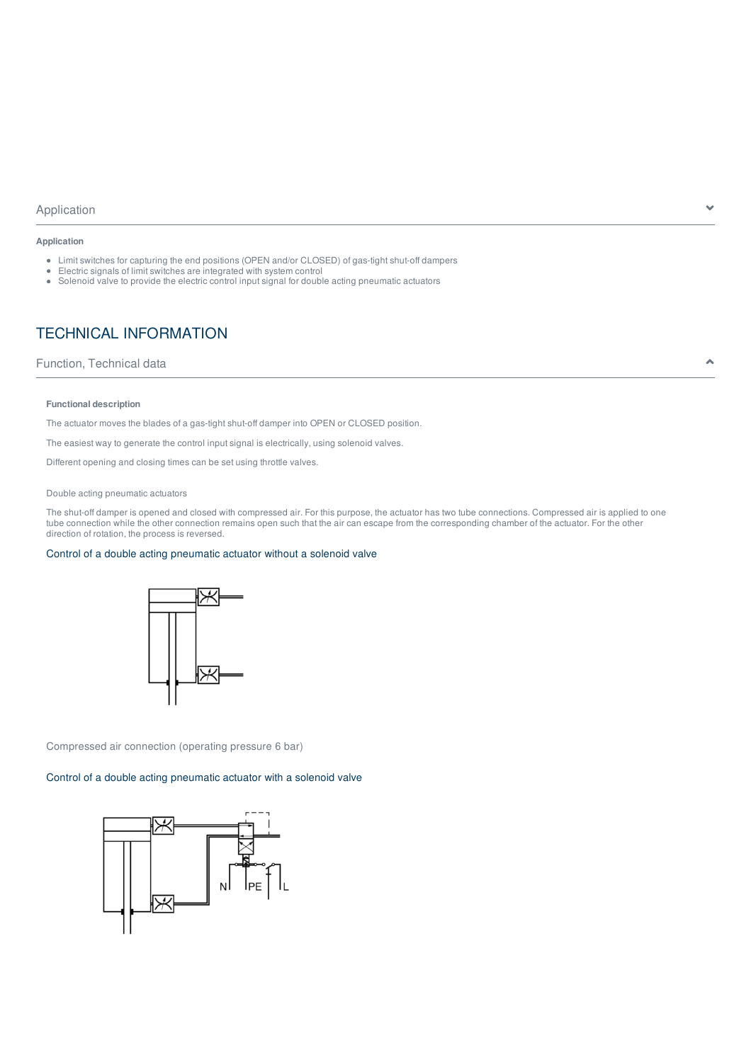# Application and the set of the set of the set of the set of the set of the set of the set of the set of the set of the set of the set of the set of the set of the set of the set of the set of the set of the set of the set

#### **Application**

- Limit switches for capturing the end positions (OPEN and/or CLOSED) of gas-tight shut-off dampers
- Electric signals of limit switches are integrated with system control
- Solenoid valve to provide the electric control input signal for double acting pneumatic actuators

# TECHNICAL INFORMATION

## Function, Technical data and the set of the set of the set of the set of the set of the set of the set of the set of the set of the set of the set of the set of the set of the set of the set of the set of the set of the se

#### **Functional description**

The actuator moves the blades of a gas-tight shut-off damper into OPEN or CLOSED position.

The easiest way to generate the control input signal is electrically, using solenoid valves.

Different opening and closing times can be set using throttle valves.

#### Double acting pneumatic actuators

The shut-off damper is opened and closed with compressed air. For this purpose, the actuator has two tube connections. Compressed air is applied to one tube connection while the other connection remains open such that the air can escape from the corresponding chamber of the actuator. For the other direction of rotation, the process is reversed.

#### Control of a double acting pneumatic actuator without a solenoid valve



Compressed air connection (operating pressure 6 bar)

### Control of a double acting pneumatic actuator with a solenoid valve

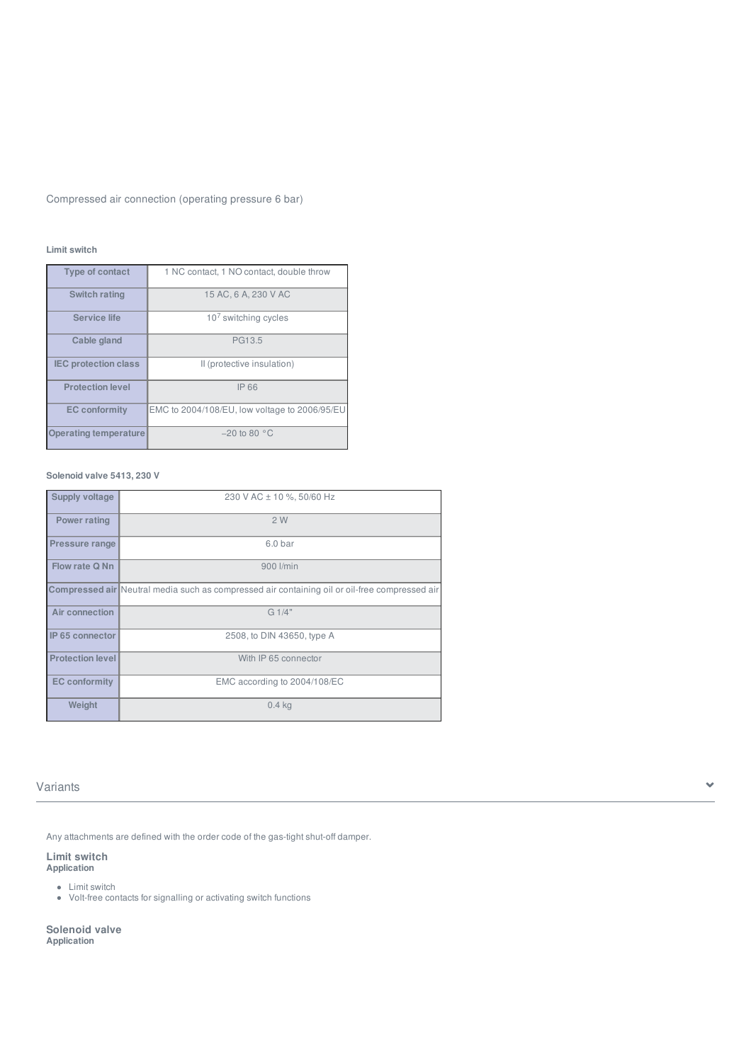Compressed air connection (operating pressure 6 bar)

# **Limit switch**

| Type of contact              | 1 NC contact, 1 NO contact, double throw      |
|------------------------------|-----------------------------------------------|
| Switch rating                | 15 AC, 6 A, 230 V AC                          |
| Service life                 | $107$ switching cycles                        |
| Cable gland                  | PG13.5                                        |
| <b>IEC protection class</b>  | Il (protective insulation)                    |
| <b>Protection level</b>      | IP 66                                         |
| <b>EC</b> conformity         | EMC to 2004/108/EU, low voltage to 2006/95/EU |
| <b>Operating temperature</b> | $-20$ to 80 $^{\circ}$ C                      |

# **Solenoid valve 5413, 230 V**

| Supply voltage          | 230 V AC ± 10 %, 50/60 Hz                                                                     |
|-------------------------|-----------------------------------------------------------------------------------------------|
| Power rating            | 2W                                                                                            |
| <b>Pressure range</b>   | 6.0 <sub>bar</sub>                                                                            |
| Flow rate Q Nn          | 900 l/min                                                                                     |
|                         | Compressed air Neutral media such as compressed air containing oil or oil-free compressed air |
| Air connection          | G1/4"                                                                                         |
| IP 65 connector         | 2508, to DIN 43650, type A                                                                    |
| <b>Protection level</b> | With IP 65 connector                                                                          |
| <b>EC</b> conformity    | EMC according to 2004/108/EC                                                                  |
| Weight                  | $0.4$ kg                                                                                      |

# Variants and the set of the set of the set of the set of the set of the set of the set of the set of the set of the set of the set of the set of the set of the set of the set of the set of the set of the set of the set of

Any attachments are defined with the order code of the gas-tight shut-off damper.

# **Limit switch Application**

Limit switch

Volt-free contacts for signalling or activating switch functions

**Solenoid valve Application**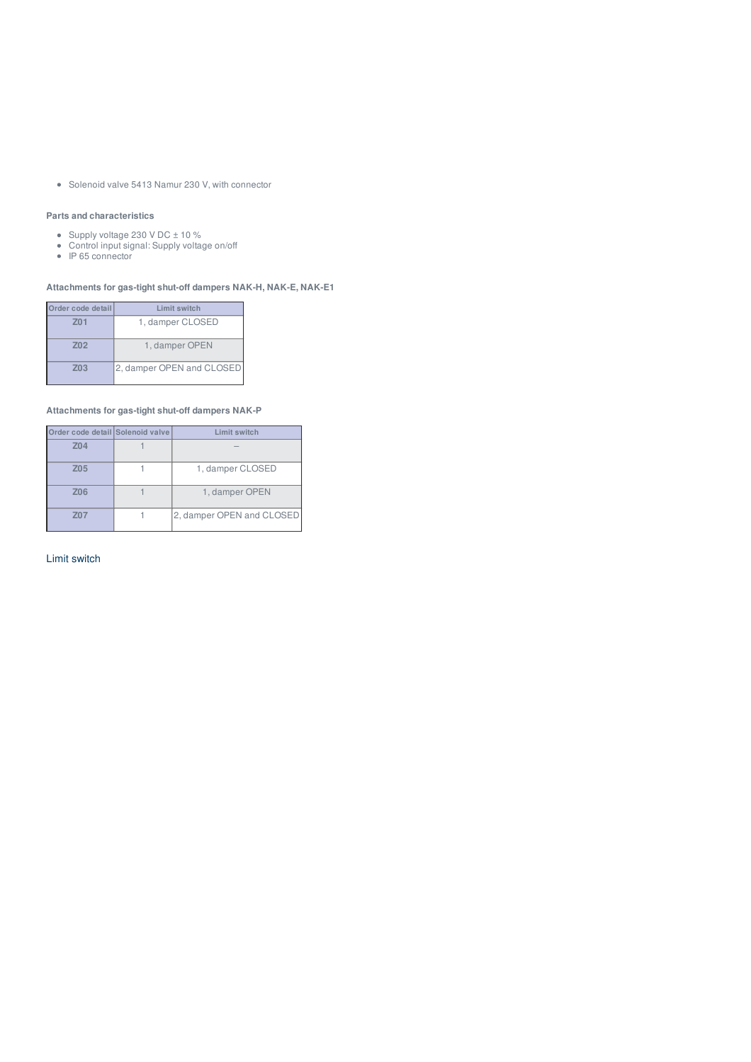• Solenoid valve 5413 Namur 230 V, with connector

# **Parts and characteristics**

- Supply voltage 230 V DC ± 10 %
- Control input signal: Supply voltage on/off
- IP 65 connector

## **Attachments for gas-tight shut-off dampers NAK-H, NAK-E, NAK-E1**

| Order code detail | Limit switch              |
|-------------------|---------------------------|
| Z <sub>01</sub>   | 1, damper CLOSED          |
| Z <sub>02</sub>   | 1, damper OPEN            |
| Z <sub>03</sub>   | 2, damper OPEN and CLOSED |

# **Attachments for gas-tight shut-off dampers NAK-P**

| Order code detail Solenoid valve | Limit switch              |
|----------------------------------|---------------------------|
| Z04                              |                           |
| Z05                              | 1, damper CLOSED          |
| Z06                              | 1, damper OPEN            |
| Z07                              | 2, damper OPEN and CLOSED |

Limit switch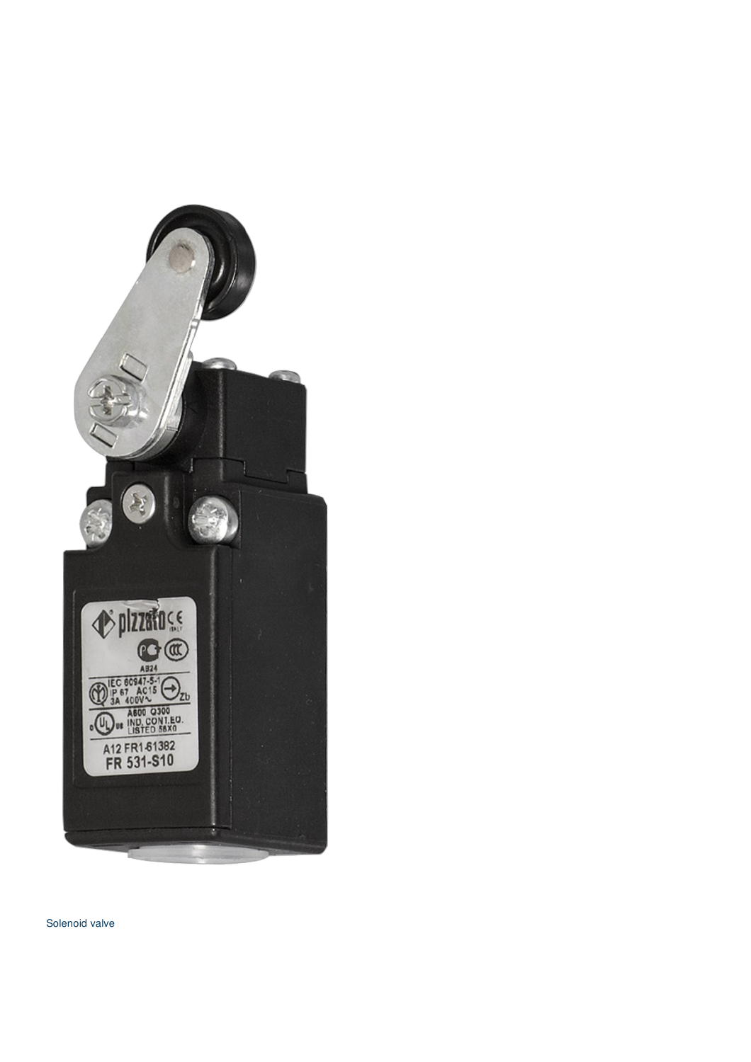

Solenoid valve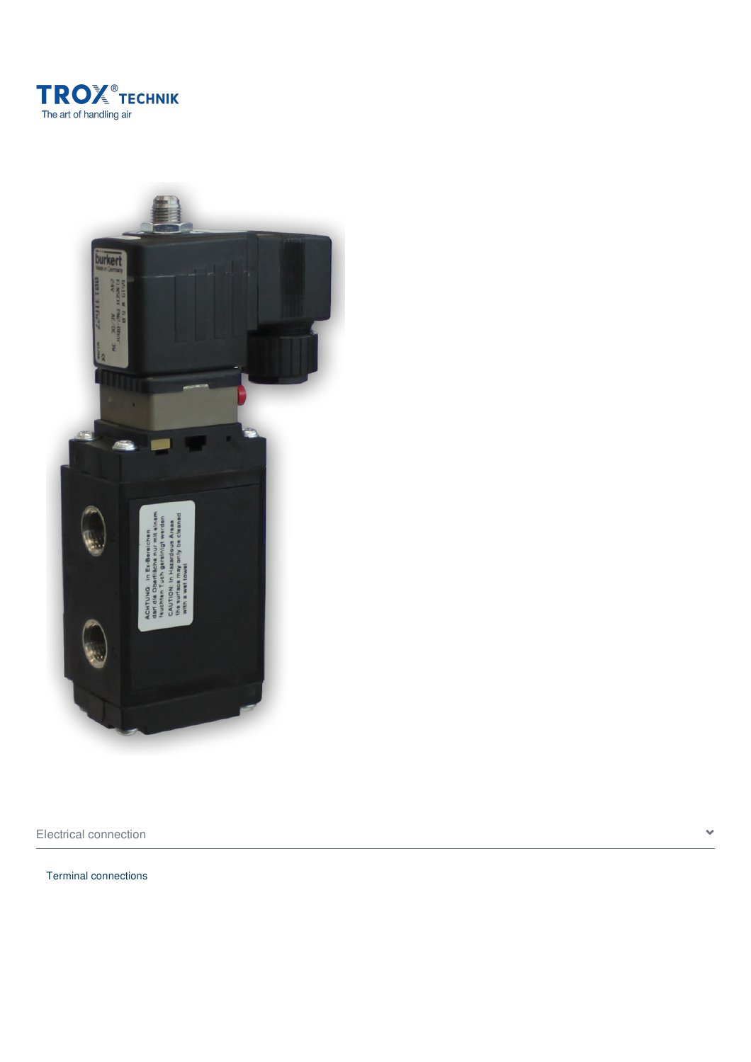



Electrical connection  $\bullet$ 

Terminal connections